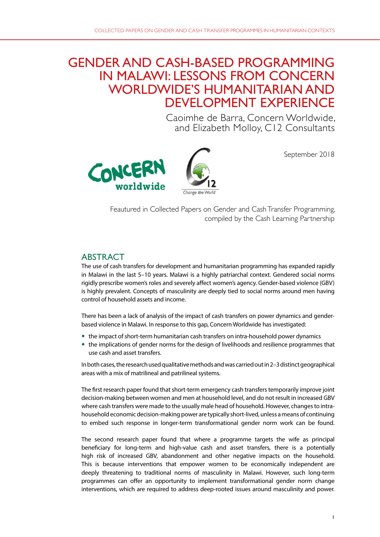# GENDER AND CASH-BASED PROGRAMMING IN MALAWI: LESSONS FROM CONCERN WORLDWIDE'S HUMANITARIAN AND DEVELOPMENT EXPERIENCE

Caoimhe de Barra, Concern Worldwide, and Elizabeth Molloy, C12 Consultants



September 2018

Feautured in Collected Papers on Gender and Cash Transfer Programming, compiled by the Cash Learning Partnership

## ABSTRACT

The use of cash transfers for development and humanitarian programming has expanded rapidly in Malawi in the last 5–10 years. Malawi is a highly patriarchal context. Gendered social norms rigidly prescribe women's roles and severely affect women's agency. Gender-based violence (GBV) is highly prevalent. Concepts of masculinity are deeply tied to social norms around men having control of household assets and income.

There has been a lack of analysis of the impact of cash transfers on power dynamics and genderbased violence in Malawi. In response to this gap, Concern Worldwide has investigated:

- the impact of short-term humanitarian cash transfers on intra-household power dynamics
- the implications of gender norms for the design of livelihoods and resilience programmes that use cash and asset transfers.

In both cases, the research used qualitative methods and was carried out in 2–3 distinct geographical areas with a mix of matrilineal and patrilineal systems.

The first research paper found that short-term emergency cash transfers temporarily improve joint decision-making between women and men at household level, and do not result in increased GBV where cash transfers were made to the usually male head of household. However, changes to intrahousehold economic decision-making power are typically short-lived, unless a means of continuing to embed such response in longer-term transformational gender norm work can be found.

The second research paper found that where a programme targets the wife as principal beneficiary for long-term and high-value cash and asset transfers, there is a potentially high risk of increased GBV, abandonment and other negative impacts on the household. This is because interventions that empower women to be economically independent are deeply threatening to traditional norms of masculinity in Malawi. However, such long-term programmes can offer an opportunity to implement transformational gender norm change interventions, which are required to address deep-rooted issues around masculinity and power.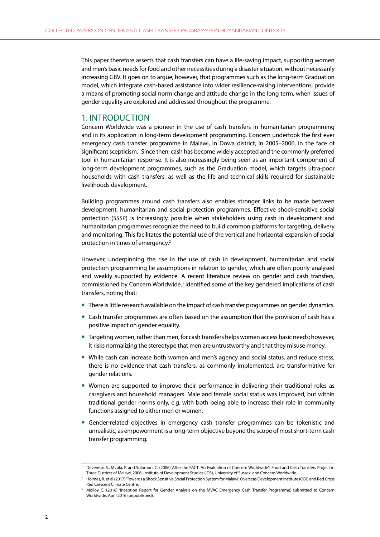This paper therefore asserts that cash transfers can have a life-saving impact, supporting women and men's basic needs for food and other necessities during a disaster situation, without necessarily increasing GBV. It goes on to argue, however, that programmes such as the long-term Graduation model, which integrate cash-based assistance into wider resilience-raising interventions, provide a means of promoting social norm change and attitude change in the long term, when issues of gender equality are explored and addressed throughout the programme.

#### 1. INTRODUCTION

Concern Worldwide was a pioneer in the use of cash transfers in humanitarian programming and in its application in long-term development programming. Concern undertook the first ever emergency cash transfer programme in Malawi, in Dowa district, in 2005–2006, in the face of significant scepticism.<sup>1</sup> Since then, cash has become widely accepted and the commonly preferred tool in humanitarian response. It is also increasingly being seen as an important component of long-term development programmes, such as the Graduation model, which targets ultra-poor households with cash transfers, as well as the life and technical skills required for sustainable livelihoods development.

Building programmes around cash transfers also enables stronger links to be made between development, humanitarian and social protection programmes. Effective shock-sensitive social protection (SSSP) is increasingly possible when stakeholders using cash in development and humanitarian programmes recognize the need to build common platforms for targeting, delivery and monitoring. This facilitates the potential use of the vertical and horizontal expansion of social protection in times of emergency.2

However, underpinning the rise in the use of cash in development, humanitarian and social protection programming lie assumptions in relation to gender, which are often poorly analysed and weakly supported by evidence. A recent literature review on gender and cash transfers, commissioned by Concern Worldwide,<sup>3</sup> identified some of the key gendered implications of cash transfers, noting that:

- There is little research available on the impact of cash transfer programmes on gender dynamics.
- Cash transfer programmes are often based on the assumption that the provision of cash has a positive impact on gender equality.
- Targeting women, rather than men, for cash transfers helps women access basic needs; however, it risks normalizing the stereotype that men are untrustworthy and that they misuse money.
- While cash can increase both women and men's agency and social status, and reduce stress, there is no evidence that cash transfers, as commonly implemented, are transformative for gender relations.
- Women are supported to improve their performance in delivering their traditional roles as caregivers and household managers. Male and female social status was improved, but within traditional gender norms only, e.g. with both being able to increase their role in community functions assigned to either men or women.
- Gender-related objectives in emergency cash transfer programmes can be tokenistic and unrealistic, as empowerment is a long-term objective beyond the scope of most short-term cash transfer programming.

<sup>1</sup> Devereux, S., Mvula, P. and Solomon, C. (2006) 'After the FACT: An Evaluation of Concern Worldwide's Food and Cash Transfers Project in Three Districts of Malawi, 2006', Institute of Development Studies (IDS), University of Sussex, and Concern Worldwide.

<sup>2</sup> Holmes, R. et al (2017) 'Towards a Shock Sensitive Social Protection System for Malawi', Overseas Development Institute (ODI) and Red Cross Red Crescent Climate Centre.

<sup>&</sup>lt;sup>3</sup> Molloy, E. (2016) 'Inception Report for Gender Analysis on the MVAC Emergency Cash Transfer Programme', submitted to Concern Worldwide, April 2016 (unpublished).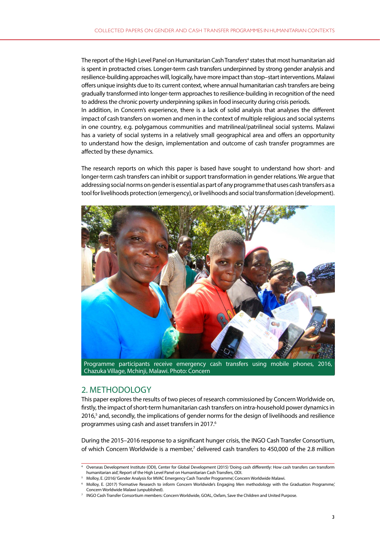The report of the High Level Panel on Humanitarian Cash Transfers<sup>4</sup> states that most humanitarian aid is spent in protracted crises. Longer-term cash transfers underpinned by strong gender analysis and resilience-building approaches will, logically, have more impact than stop–start interventions. Malawi offers unique insights due to its current context, where annual humanitarian cash transfers are being gradually transformed into longer-term approaches to resilience-building in recognition of the need to address the chronic poverty underpinning spikes in food insecurity during crisis periods. In addition, in Concern's experience, there is a lack of solid analysis that analyses the different impact of cash transfers on women and men in the context of multiple religious and social systems in one country, e.g. polygamous communities and matrilineal/patrilineal social systems. Malawi has a variety of social systems in a relatively small geographical area and offers an opportunity to understand how the design, implementation and outcome of cash transfer programmes are affected by these dynamics.

The research reports on which this paper is based have sought to understand how short- and longer-term cash transfers can inhibit or support transformation in gender relations. We argue that addressing social norms on gender is essential as part of any programme that uses cash transfers as a tool for livelihoods protection (emergency), or livelihoods and social transformation (development).



Programme participants receive emergency cash transfers using mobile phones, 2016, Chazuka Village, Mchinji, Malawi. Photo: Concern

## 2. METHODOLOGY

This paper explores the results of two pieces of research commissioned by Concern Worldwide on, firstly, the impact of short-term humanitarian cash transfers on intra-household power dynamics in 2016,<sup>5</sup> and, secondly, the implications of gender norms for the design of livelihoods and resilience programmes using cash and asset transfers in 2017.6

During the 2015–2016 response to a significant hunger crisis, the INGO Cash Transfer Consortium, of which Concern Worldwide is a member,<sup>7</sup> delivered cash transfers to 450,000 of the 2.8 million

<sup>4</sup> Overseas Development Institute (ODI), Center for Global Development (2015) 'Doing cash differently: How cash transfers can transform humanitarian aid', Report of the High Level Panel on Humanitarian Cash Transfers, ODI.

<sup>5</sup> Molloy, E. (2016) 'Gender Analysis for MVAC Emergency Cash Transfer Programme', Concern Worldwide Malawi.

<sup>6</sup> Molloy, E. (2017) 'Formative Research to inform Concern Worldwide's Engaging Men methodology with the Graduation Programme,' Concern Worldwide Malawi (unpublished).

<sup>7</sup> INGO Cash Transfer Consortium members: Concern Worldwide, GOAL, Oxfam, Save the Children and United Purpose.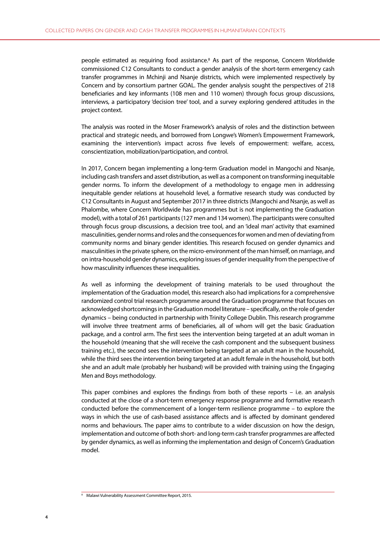people estimated as requiring food assistance.<sup>8</sup> As part of the response, Concern Worldwide commissioned C12 Consultants to conduct a gender analysis of the short-term emergency cash transfer programmes in Mchinji and Nsanje districts, which were implemented respectively by Concern and by consortium partner GOAL. The gender analysis sought the perspectives of 218 beneficiaries and key informants (108 men and 110 women) through focus group discussions, interviews, a participatory 'decision tree' tool, and a survey exploring gendered attitudes in the project context.

The analysis was rooted in the Moser Framework's analysis of roles and the distinction between practical and strategic needs, and borrowed from Longwe's Women's Empowerment Framework, examining the intervention's impact across five levels of empowerment: welfare, access, conscientization, mobilization/participation, and control.

In 2017, Concern began implementing a long-term Graduation model in Mangochi and Nsanje, including cash transfers and asset distribution, as well as a component on transforming inequitable gender norms. To inform the development of a methodology to engage men in addressing inequitable gender relations at household level, a formative research study was conducted by C12 Consultants in August and September 2017 in three districts (Mangochi and Nsanje, as well as Phalombe, where Concern Worldwide has programmes but is not implementing the Graduation model), with a total of 261 participants (127 men and 134 women). The participants were consulted through focus group discussions, a decision tree tool, and an 'ideal man' activity that examined masculinities, gender norms and roles and the consequences for women and men of deviating from community norms and binary gender identities. This research focused on gender dynamics and masculinities in the private sphere, on the micro-environment of the man himself, on marriage, and on intra-household gender dynamics, exploring issues of gender inequality from the perspective of how masculinity influences these inequalities.

As well as informing the development of training materials to be used throughout the implementation of the Graduation model, this research also had implications for a comprehensive randomized control trial research programme around the Graduation programme that focuses on acknowledged shortcomings in the Graduation model literature – specifically, on the role of gender dynamics – being conducted in partnership with Trinity College Dublin. This research programme will involve three treatment arms of beneficiaries, all of whom will get the basic Graduation package, and a control arm. The first sees the intervention being targeted at an adult woman in the household (meaning that she will receive the cash component and the subsequent business training etc.), the second sees the intervention being targeted at an adult man in the household, while the third sees the intervention being targeted at an adult female in the household, but both she and an adult male (probably her husband) will be provided with training using the Engaging Men and Boys methodology.

This paper combines and explores the findings from both of these reports – i.e. an analysis conducted at the close of a short-term emergency response programme and formative research conducted before the commencement of a longer-term resilience programme – to explore the ways in which the use of cash-based assistance affects and is affected by dominant gendered norms and behaviours. The paper aims to contribute to a wider discussion on how the design, implementation and outcome of both short- and long-term cash transfer programmes are affected by gender dynamics, as well as informing the implementation and design of Concern's Graduation model.

<sup>8</sup> Malawi Vulnerability Assessment Committee Report, 2015.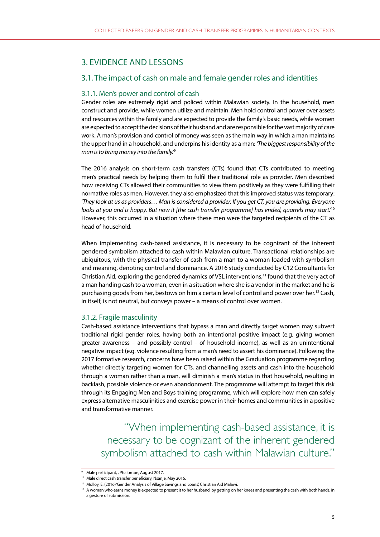# 3. EVIDENCE AND LESSONS

## 3.1. The impact of cash on male and female gender roles and identities

## 3.1.1. Men's power and control of cash

Gender roles are extremely rigid and policed within Malawian society. In the household, men construct and provide, while women utilize and maintain. Men hold control and power over assets and resources within the family and are expected to provide the family's basic needs, while women are expected to accept the decisions of their husband and are responsible for the vast majority of care work. A man's provision and control of money was seen as the main way in which a man maintains the upper hand in a household, and underpins his identity as a man: *'The biggest responsibility of the man is to bring money into the family.'*<sup>9</sup>

The 2016 analysis on short-term cash transfers (CTs) found that CTs contributed to meeting men's practical needs by helping them to fulfil their traditional role as provider. Men described how receiving CTs allowed their communities to view them positively as they were fulfilling their normative roles as men. However, they also emphasized that this improved status was temporary: '*They look at us as providers… Man is considered a provider. If you get CT, you are providing. Everyone looks at you and is happy. But now it [the cash transfer programme] has ended, quarrels may start.'*<sup>10</sup> However, this occurred in a situation where these men were the targeted recipients of the CT as head of household.

When implementing cash-based assistance, it is necessary to be cognizant of the inherent gendered symbolism attached to cash within Malawian culture. Transactional relationships are ubiquitous, with the physical transfer of cash from a man to a woman loaded with symbolism and meaning, denoting control and dominance. A 2016 study conducted by C12 Consultants for Christian Aid, exploring the gendered dynamics of VSL interventions,<sup>11</sup> found that the very act of a man handing cash to a woman, even in a situation where she is a vendor in the market and he is purchasing goods from her, bestows on him a certain level of control and power over her.12 Cash, in itself, is not neutral, but conveys power – a means of control over women.

### 3.1.2. Fragile masculinity

Cash-based assistance interventions that bypass a man and directly target women may subvert traditional rigid gender roles, having both an intentional positive impact (e.g. giving women greater awareness – and possibly control – of household income), as well as an unintentional negative impact (e.g. violence resulting from a man's need to assert his dominance). Following the 2017 formative research, concerns have been raised within the Graduation programme regarding whether directly targeting women for CTs, and channelling assets and cash into the household through a woman rather than a man, will diminish a man's status in that household, resulting in backlash, possible violence or even abandonment. The programme will attempt to target this risk through its Engaging Men and Boys training programme, which will explore how men can safely express alternative masculinities and exercise power in their homes and communities in a positive and transformative manner.

"When implementing cash-based assistance, it is necessary to be cognizant of the inherent gendered symbolism attached to cash within Malawian culture."

Male participant, , Phalombe, August 2017.

<sup>10</sup> Male direct cash transfer beneficiary, Nsanje, May 2016.

<sup>&</sup>lt;sup>11</sup> Molloy, E. (2016) 'Gender Analysis of Village Savings and Loans', Christian Aid Malawi.

<sup>&</sup>lt;sup>12</sup> A woman who earns money is expected to present it to her husband, by getting on her knees and presenting the cash with both hands, in a gesture of submission.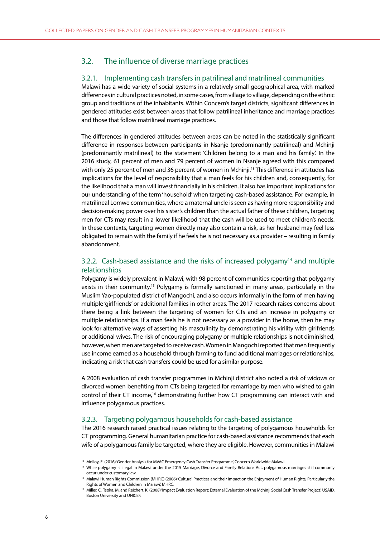## 3.2. The influence of diverse marriage practices

#### 3.2.1. Implementing cash transfers in patrilineal and matrilineal communities

Malawi has a wide variety of social systems in a relatively small geographical area, with marked differences in cultural practices noted, in some cases, from village to village, depending on the ethnic group and traditions of the inhabitants. Within Concern's target districts, significant differences in gendered attitudes exist between areas that follow patrilineal inheritance and marriage practices and those that follow matrilineal marriage practices.

The differences in gendered attitudes between areas can be noted in the statistically significant difference in responses between participants in Nsanje (predominantly patrilineal) and Mchinji (predominantly matrilineal) to the statement 'Children belong to a man and his family'. In the 2016 study, 61 percent of men and 79 percent of women in Nsanje agreed with this compared with only 25 percent of men and 36 percent of women in Mchinji.<sup>13</sup> This difference in attitudes has implications for the level of responsibility that a man feels for his children and, consequently, for the likelihood that a man will invest financially in his children. It also has important implications for our understanding of the term 'household' when targeting cash-based assistance. For example, in matrilineal Lomwe communities, where a maternal uncle is seen as having more responsibility and decision-making power over his sister's children than the actual father of these children, targeting men for CTs may result in a lower likelihood that the cash will be used to meet children's needs. In these contexts, targeting women directly may also contain a risk, as her husband may feel less obligated to remain with the family if he feels he is not necessary as a provider – resulting in family abandonment.

## 3.2.2. Cash-based assistance and the risks of increased polygamy<sup>14</sup> and multiple relationships

Polygamy is widely prevalent in Malawi, with 98 percent of communities reporting that polygamy exists in their community.<sup>15</sup> Polygamy is formally sanctioned in many areas, particularly in the Muslim Yao-populated district of Mangochi, and also occurs informally in the form of men having multiple 'girlfriends' or additional families in other areas. The 2017 research raises concerns about there being a link between the targeting of women for CTs and an increase in polygamy or multiple relationships. If a man feels he is not necessary as a provider in the home, then he may look for alternative ways of asserting his masculinity by demonstrating his virility with girlfriends or additional wives. The risk of encouraging polygamy or multiple relationships is not diminished, however, when men are targeted to receive cash. Women in Mangochi reported that men frequently use income earned as a household through farming to fund additional marriages or relationships, indicating a risk that cash transfers could be used for a similar purpose.

A 2008 evaluation of cash transfer programmes in Mchinji district also noted a risk of widows or divorced women benefiting from CTs being targeted for remarriage by men who wished to gain control of their CT income,16 demonstrating further how CT programming can interact with and influence polygamous practices.

#### 3.2.3. Targeting polygamous households for cash-based assistance

The 2016 research raised practical issues relating to the targeting of polygamous households for CT programming. General humanitarian practice for cash-based assistance recommends that each wife of a polygamous family be targeted, where they are eligible. However, communities in Malawi

<sup>13</sup> Molloy, E. (2016) 'Gender Analysis for MVAC Emergency Cash Transfer Programme', Concern Worldwide Malawi.

<sup>&</sup>lt;sup>14</sup> While polygamy is illegal in Malawi under the 2015 Marriage, Divorce and Family Relations Act, polygamous marriages still commonly

occur under customary law.<br><sup>15</sup> Malawi Human Rights Commission (MHRC) (2006) 'Cultural Practices and their Impact on the Enjoyment of Human Rights, Particularly the Rights of Women and Children in Malawi', MHRC.

<sup>&</sup>lt;sup>16</sup> Miller, C., Tsoka, M. and Reichert, K. (2008) 'Impact Evaluation Report: External Evaluation of the Mchinji Social Cash Transfer Project', USAID, Boston University and UNICEF.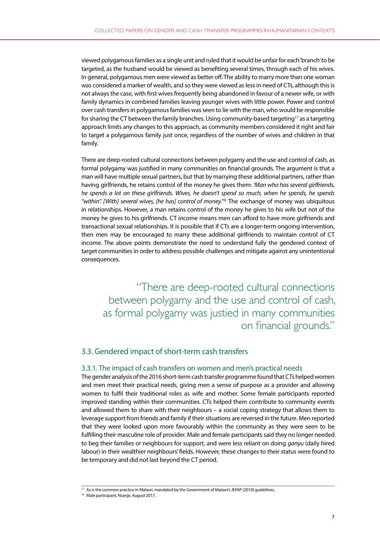viewed polygamous families as a single unit and ruled that it would be unfair for each 'branch' to be targeted, as the husband would be viewed as benefiting several times, through each of his wives. In general, polygamous men were viewed as better off. The ability to marry more than one woman was considered a marker of wealth, and so they were viewed as less in need of CTs, although this is not always the case, with first wives frequently being abandoned in favour of a newer wife, or with family dynamics in combined families leaving younger wives with little power. Power and control over cash transfers in polygamous families was seen to lie with the man, who would be responsible for sharing the CT between the family branches. Using community-based targeting<sup>17</sup> as a targeting approach limits any changes to this approach, as community members considered it right and fair to target a polygamous family just once, regardless of the number of wives and children in that family.

There are deep-rooted cultural connections between polygamy and the use and control of cash, as formal polygamy was justified in many communities on financial grounds. The argument is that a man will have multiple sexual partners, but that by marrying these additional partners, rather than having girlfriends, he retains control of the money he gives them: *'Man who has several girlfriends, he spends a lot on these girlfriends. Wives, he doesn't spend so much, when he spends, he spends "within". [With] several wives, [he has] control of money.'*<sup>18</sup> The exchange of money was ubiquitous in relationships. However, a man retains control of the money he gives to his wife but not of the money he gives to his girlfriends. CT income means men can afford to have more girlfriends and transactional sexual relationships. It is possible that if CTs are a longer-term ongoing intervention, then men may be encouraged to marry these additional girlfriends to maintain control of CT income. The above points demonstrate the need to understand fully the gendered context of target communities in order to address possible challenges and mitigate against any unintentional consequences.

"There are deep-rooted cultural connections between polygamy and the use and control of cash, as formal polygamy was justied in many communities on financial grounds."

#### 3.3. Gendered impact of short-term cash transfers

#### 3.3.1. The impact of cash transfers on women and men's practical needs

The gender analysis of the 2016 short-term cash transfer programme found that CTs helped women and men meet their practical needs, giving men a sense of purpose as a provider and allowing women to fulfil their traditional roles as wife and mother. Some female participants reported improved standing within their communities. CTs helped them contribute to community events and allowed them to share with their neighbours – a social coping strategy that allows them to leverage support from friends and family if their situations are reversed in the future. Men reported that they were looked upon more favourably within the community as they were seen to be fulfilling their masculine role of provider. Male and female participants said they no longer needed to beg their families or neighbours for support, and were less reliant on doing *ganyu* (daily hired labour) in their wealthier neighbours' fields. However, these changes to their status were found to be temporary and did not last beyond the CT period.

<sup>&</sup>lt;sup>17</sup> As is the common practice in Malawi, mandated by the Government of Malawi's JEFAP (2010) guidelines.

<sup>&</sup>lt;sup>18</sup> Male participant, Nsanje, August 2017.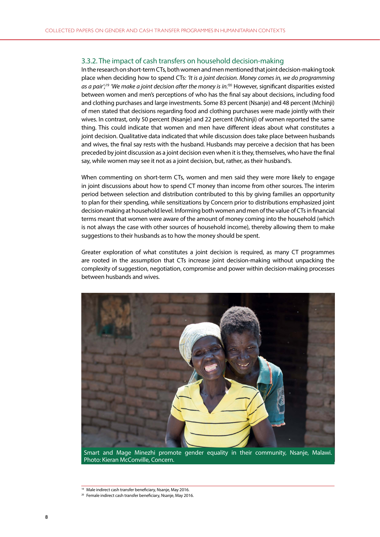#### 3.3.2. The impact of cash transfers on household decision-making

In the research on short-term CTs, both women and men mentioned that joint decision-making took place when deciding how to spend CTs: *'It is a joint decision. Money comes in, we do programming as a pair';*<sup>19</sup> *'We make a joint decision after the money is in.'*20 However, significant disparities existed between women and men's perceptions of who has the final say about decisions, including food and clothing purchases and large investments. Some 83 percent (Nsanje) and 48 percent (Mchinji) of men stated that decisions regarding food and clothing purchases were made jointly with their wives. In contrast, only 50 percent (Nsanje) and 22 percent (Mchinji) of women reported the same thing. This could indicate that women and men have different ideas about what constitutes a joint decision. Qualitative data indicated that while discussion does take place between husbands and wives, the final say rests with the husband. Husbands may perceive a decision that has been preceded by joint discussion as a joint decision even when it is they, themselves, who have the final say, while women may see it not as a joint decision, but, rather, as their husband's.

When commenting on short-term CTs, women and men said they were more likely to engage in joint discussions about how to spend CT money than income from other sources. The interim period between selection and distribution contributed to this by giving families an opportunity to plan for their spending, while sensitizations by Concern prior to distributions emphasized joint decision-making at household level. Informing both women and men of the value of CTs in financial terms meant that women were aware of the amount of money coming into the household (which is not always the case with other sources of household income), thereby allowing them to make suggestions to their husbands as to how the money should be spent.

Greater exploration of what constitutes a joint decision is required, as many CT programmes are rooted in the assumption that CTs increase joint decision-making without unpacking the complexity of suggestion, negotiation, compromise and power within decision-making processes between husbands and wives.



<sup>&</sup>lt;sup>19</sup> Male indirect cash transfer beneficiary, Nsanje, May 2016.

<sup>&</sup>lt;sup>20</sup> Female indirect cash transfer beneficiary, Nsanje, May 2016.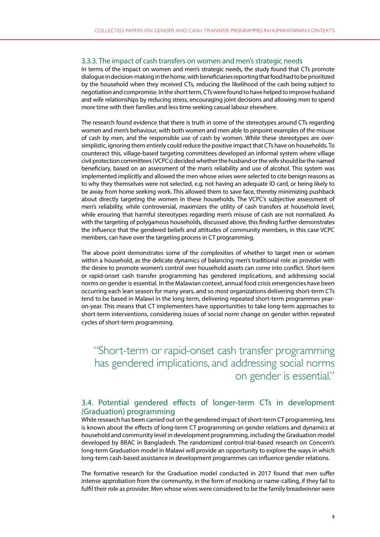#### 3.3.3. The impact of cash transfers on women and men's strategic needs

In terms of the impact on women and men's strategic needs, the study found that CTs promote dialogue in decision-making in the home, with beneficiaries reporting that food had to be prioritized by the household when they received CTs, reducing the likelihood of the cash being subject to negotiation and compromise. In the short term, CTs were found to have helped to improve husband and wife relationships by reducing stress, encouraging joint decisions and allowing men to spend more time with their families and less time seeking casual labour elsewhere.

The research found evidence that there is truth in some of the stereotypes around CTs regarding women and men's behaviour, with both women and men able to pinpoint examples of the misuse of cash by men, and the responsible use of cash by women. While these stereotypes are oversimplistic, ignoring them entirely could reduce the positive impact that CTs have on households. To counteract this, village-based targeting committees developed an informal system where village civil protection committees (VCPCs) decided whether the husband or the wife should be the named beneficiary, based on an assessment of the man's reliability and use of alcohol. This system was implemented implicitly and allowed the men whose wives were selected to cite benign reasons as to why they themselves were not selected, e.g. not having an adequate ID card, or being likely to be away from home seeking work. This allowed them to save face, thereby minimizing pushback about directly targeting the women in these households. The VCPC's subjective assessment of men's reliability, while controversial, maximizes the utility of cash transfers at household level, while ensuring that harmful stereotypes regarding men's misuse of cash are not normalized. As with the targeting of polygamous households, discussed above, this finding further demonstrates the influence that the gendered beliefs and attitudes of community members, in this case VCPC members, can have over the targeting process in CT programming.

The above point demonstrates some of the complexities of whether to target men or women within a household, as the delicate dynamics of balancing men's traditional role as provider with the desire to promote women's control over household assets can come into conflict. Short-term or rapid-onset cash transfer programming has gendered implications, and addressing social norms on gender is essential. In the Malawian context, annual food crisis emergencies have been occurring each lean season for many years, and so most organizations delivering short-term CTs tend to be based in Malawi in the long term, delivering repeated short-term programmes yearon-year. This means that CT implementers have opportunities to take long-term approaches to short-term interventions, considering issues of social norm change on gender within repeated cycles of short-term programming.

"Short-term or rapid-onset cash transfer programming has gendered implications, and addressing social norms on gender is essential."

## 3.4. Potential gendered effects of longer-term CTs in development (Graduation) programming

While research has been carried out on the gendered impact of short-term CT programming, less is known about the effects of long-term CT programming on gender relations and dynamics at household and community level in development programming, including the Graduation model developed by BRAC in Bangladesh. The randomized control-trial-based research on Concern's long-term Graduation model in Malawi will provide an opportunity to explore the ways in which long-term cash-based assistance in development programmes can influence gender relations.

The formative research for the Graduation model conducted in 2017 found that men suffer intense approbation from the community, in the form of mocking or name-calling, if they fail to fulfil their role as provider. Men whose wives were considered to be the family breadwinner were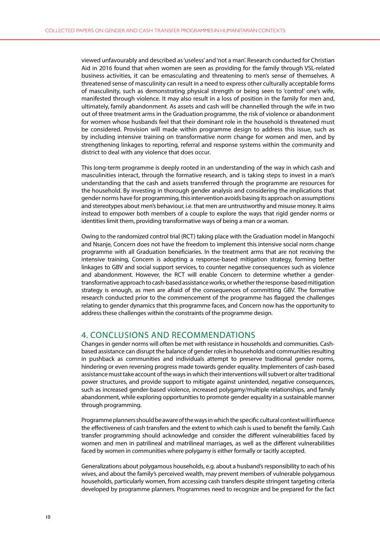viewed unfavourably and described as 'useless' and 'not a man'. Research conducted for Christian Aid in 2016 found that when women are seen as providing for the family through VSL-related business activities, it can be emasculating and threatening to men's sense of themselves. A threatened sense of masculinity can result in a need to express other culturally acceptable forms of masculinity, such as demonstrating physical strength or being seen to 'control' one's wife, manifested through violence. It may also result in a loss of position in the family for men and, ultimately, family abandonment. As assets and cash will be channelled through the wife in two out of three treatment arms in the Graduation programme, the risk of violence or abandonment for women whose husbands feel that their dominant role in the household is threatened must be considered. Provision will made within programme design to address this issue, such as by including intensive training on transformative norm change for women and men, and by strengthening linkages to reporting, referral and response systems within the community and district to deal with any violence that does occur.

This long-term programme is deeply rooted in an understanding of the way in which cash and masculinities interact, through the formative research, and is taking steps to invest in a man's understanding that the cash and assets transferred through the programme are resources for the household. By investing in thorough gender analysis and considering the implications that gender norms have for programming, this intervention avoids basing its approach on assumptions and stereotypes about men's behaviour, i.e. that men are untrustworthy and misuse money. It aims instead to empower both members of a couple to explore the ways that rigid gender norms or identities limit them, providing transformative ways of being a man or a woman.

Owing to the randomized control trial (RCT) taking place with the Graduation model in Mangochi and Nsanje, Concern does not have the freedom to implement this intensive social norm change programme with all Graduation beneficiaries. In the treatment arms that are not receiving the intensive training, Concern is adopting a response-based mitigation strategy, forming better linkages to GBV and social support services, to counter negative consequences such as violence and abandonment. However, the RCT will enable Concern to determine whether a gendertransformative approach to cash-based assistance works, or whether the response-based mitigation strategy is enough, as men are afraid of the consequences of committing GBV. The formative research conducted prior to the commencement of the programme has flagged the challenges relating to gender dynamics that this programme faces, and Concern now has the opportunity to address these challenges within the constraints of the programme design.

### 4. CONCLUSIONS AND RECOMMENDATIONS

Changes in gender norms will often be met with resistance in households and communities. Cashbased assistance can disrupt the balance of gender roles in households and communities resulting in pushback as communities and individuals attempt to preserve traditional gender norms, hindering or even reversing progress made towards gender equality. Implementers of cash-based assistance must take account of the ways in which their interventions will subvert or alter traditional power structures, and provide support to mitigate against unintended, negative consequences, such as increased gender-based violence, increased polygamy/multiple relationships, and family abandonment, while exploring opportunities to promote gender equality in a sustainable manner through programming.

Programme planners should be aware of the ways in which the specific cultural context will influence the effectiveness of cash transfers and the extent to which cash is used to benefit the family. Cash transfer programming should acknowledge and consider the different vulnerabilities faced by women and men in patrilineal and matrilineal marriages, as well as the different vulnerabilities faced by women in communities where polygamy is either formally or tacitly accepted.

Generalizations about polygamous households, e.g. about a husband's responsibility to each of his wives, and about the family's perceived wealth, may prevent members of vulnerable polygamous households, particularly women, from accessing cash transfers despite stringent targeting criteria developed by programme planners. Programmes need to recognize and be prepared for the fact